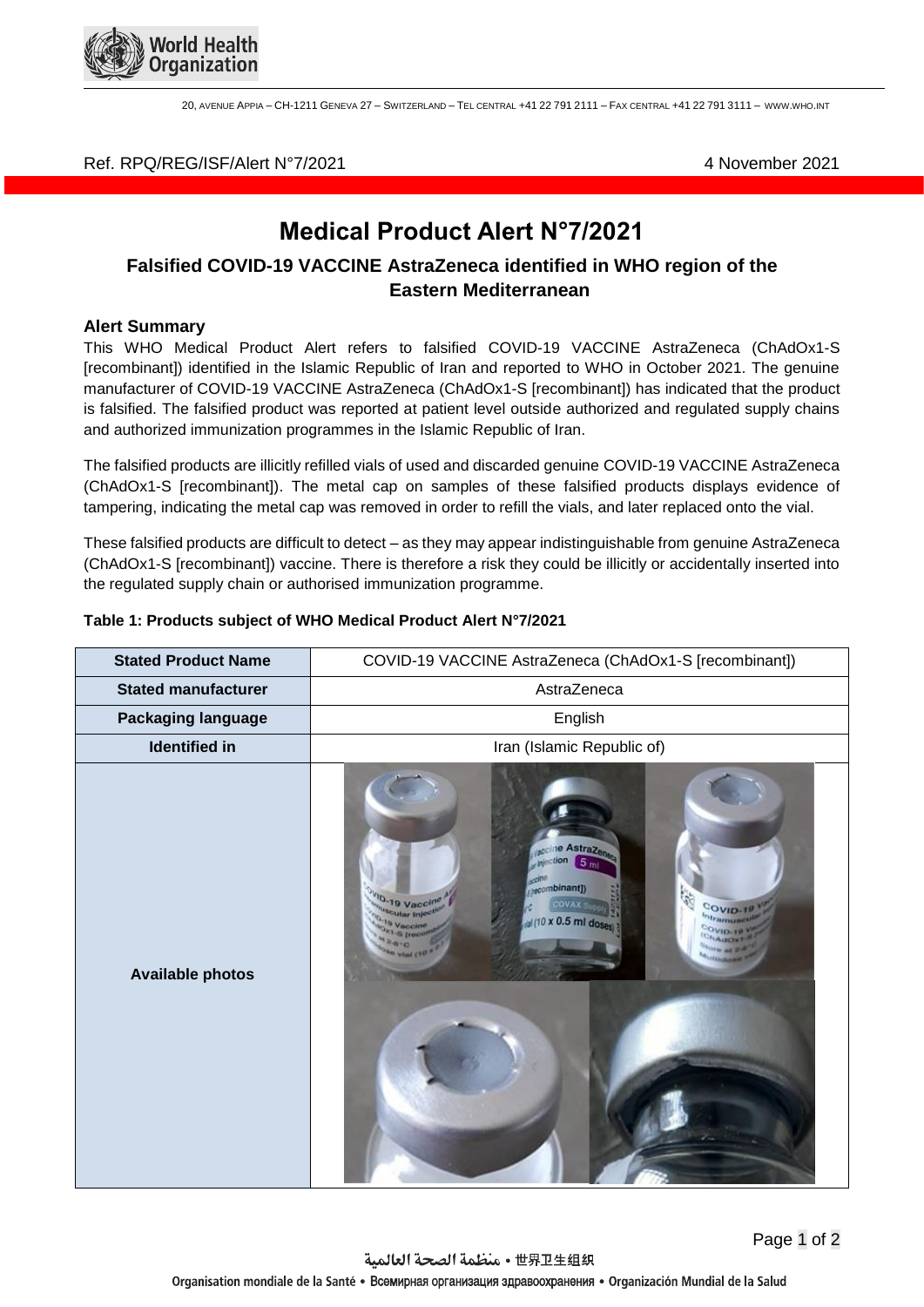

20, AVENUE APPIA – CH-1211 GENEVA 27 – SWITZERLAND – TEL CENTRAL +41 22 791 2111 – FAX CENTRAL +41 22 791 3111 – WWW.WHO.INT

### Ref. RPQ/REG/ISF/Alert N°7/2021 4 November 2021

# **Medical Product Alert N°7/2021**

## **Falsified COVID-19 VACCINE AstraZeneca identified in WHO region of the Eastern Mediterranean**

#### **Alert Summary**

This WHO Medical Product Alert refers to falsified COVID-19 VACCINE AstraZeneca (ChAdOx1-S [recombinant]) identified in the Islamic Republic of Iran and reported to WHO in October 2021. The genuine manufacturer of COVID-19 VACCINE AstraZeneca (ChAdOx1-S [recombinant]) has indicated that the product is falsified. The falsified product was reported at patient level outside authorized and regulated supply chains and authorized immunization programmes in the Islamic Republic of Iran.

The falsified products are illicitly refilled vials of used and discarded genuine COVID-19 VACCINE AstraZeneca (ChAdOx1-S [recombinant]). The metal cap on samples of these falsified products displays evidence of tampering, indicating the metal cap was removed in order to refill the vials, and later replaced onto the vial.

These falsified products are difficult to detect – as they may appear indistinguishable from genuine AstraZeneca (ChAdOx1-S [recombinant]) vaccine. There is therefore a risk they could be illicitly or accidentally inserted into the regulated supply chain or authorised immunization programme.

| <b>Stated Product Name</b> | COVID-19 VACCINE AstraZeneca (ChAdOx1-S [recombinant])                                                                                                                                                                           |
|----------------------------|----------------------------------------------------------------------------------------------------------------------------------------------------------------------------------------------------------------------------------|
| <b>Stated manufacturer</b> | AstraZeneca                                                                                                                                                                                                                      |
| Packaging language         | English                                                                                                                                                                                                                          |
| <b>Identified in</b>       | Iran (Islamic Republic of)                                                                                                                                                                                                       |
| <b>Available photos</b>    | scrine AstraZener<br><b>Minction</b><br>5 <sub>m</sub><br>seembinant])<br><sup>VID</sup> -19 Vaccine<br>G.<br><b>COVAX</b><br>COVID-1<br>Uscutar Inject<br>htramuse<br>d (10 x 0.5 ml doses<br>19 Vaccine<br>COVID-19<br>CHANDEL |

#### **Table 1: Products subject of WHO Medical Product Alert N°7/2021**

Page 1 of 2